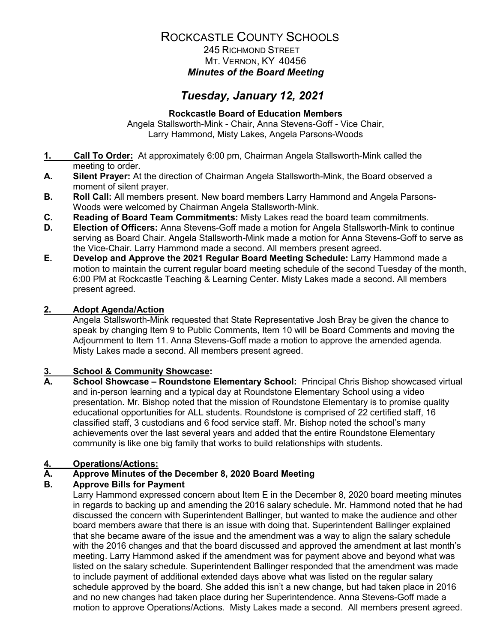## ROCKCASTLE COUNTY SCHOOLS 245 RICHMOND STREET

# MT. VERNON, KY 40456 *Minutes of the Board Meeting*

# *Tuesday, January 12, 2021*

## **Rockcastle Board of Education Members**

Angela Stallsworth-Mink - Chair, Anna Stevens-Goff - Vice Chair, Larry Hammond, Misty Lakes, Angela Parsons-Woods

- **1. Call To Order:** At approximately 6:00 pm, Chairman Angela Stallsworth-Mink called the meeting to order.
- **A. Silent Prayer:** At the direction of Chairman Angela Stallsworth-Mink, the Board observed a moment of silent prayer.
- **B. Roll Call:** All members present. New board members Larry Hammond and Angela Parsons-Woods were welcomed by Chairman Angela Stallsworth-Mink.
- **C. Reading of Board Team Commitments:** Misty Lakes read the board team commitments.
- **D. Election of Officers:** Anna Stevens-Goff made a motion for Angela Stallsworth-Mink to continue serving as Board Chair. Angela Stallsworth-Mink made a motion for Anna Stevens-Goff to serve as the Vice-Chair. Larry Hammond made a second. All members present agreed.
- **E. Develop and Approve the 2021 Regular Board Meeting Schedule:** Larry Hammond made a motion to maintain the current regular board meeting schedule of the second Tuesday of the month, 6:00 PM at Rockcastle Teaching & Learning Center. Misty Lakes made a second. All members present agreed.

## **2. Adopt Agenda/Action**

Angela Stallsworth-Mink requested that State Representative Josh Bray be given the chance to speak by changing Item 9 to Public Comments, Item 10 will be Board Comments and moving the Adjournment to Item 11. Anna Stevens-Goff made a motion to approve the amended agenda. Misty Lakes made a second. All members present agreed.

# **3. School & Community Showcase:**

**A. School Showcase – Roundstone Elementary School:** Principal Chris Bishop showcased virtual and in-person learning and a typical day at Roundstone Elementary School using a video presentation. Mr. Bishop noted that the mission of Roundstone Elementary is to promise quality educational opportunities for ALL students. Roundstone is comprised of 22 certified staff, 16 classified staff, 3 custodians and 6 food service staff. Mr. Bishop noted the school's many achievements over the last several years and added that the entire Roundstone Elementary community is like one big family that works to build relationships with students.

## **4. Operations/Actions:**

# **A. Approve Minutes of the December 8, 2020 Board Meeting**

## **B. Approve Bills for Payment**

Larry Hammond expressed concern about Item E in the December 8, 2020 board meeting minutes in regards to backing up and amending the 2016 salary schedule. Mr. Hammond noted that he had discussed the concern with Superintendent Ballinger, but wanted to make the audience and other board members aware that there is an issue with doing that. Superintendent Ballinger explained that she became aware of the issue and the amendment was a way to align the salary schedule with the 2016 changes and that the board discussed and approved the amendment at last month's meeting. Larry Hammond asked if the amendment was for payment above and beyond what was listed on the salary schedule. Superintendent Ballinger responded that the amendment was made to include payment of additional extended days above what was listed on the regular salary schedule approved by the board. She added this isn't a new change, but had taken place in 2016 and no new changes had taken place during her Superintendence. Anna Stevens-Goff made a motion to approve Operations/Actions. Misty Lakes made a second. All members present agreed.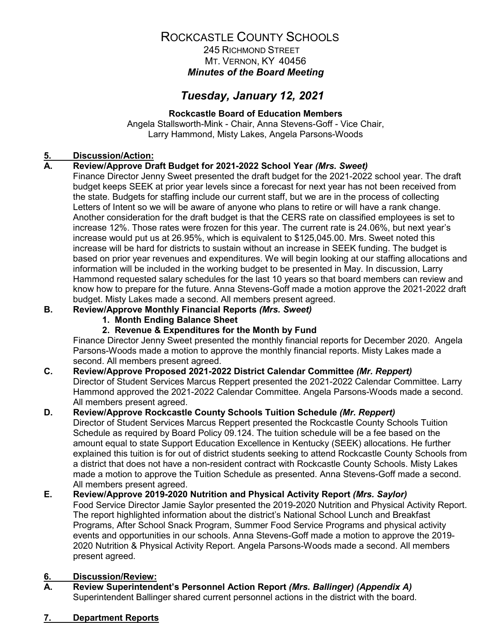## ROCKCASTLE COUNTY SCHOOLS 245 RICHMOND STREET

MT. VERNON, KY 40456 *Minutes of the Board Meeting*

# *Tuesday, January 12, 2021*

## **Rockcastle Board of Education Members**

Angela Stallsworth-Mink - Chair, Anna Stevens-Goff - Vice Chair, Larry Hammond, Misty Lakes, Angela Parsons-Woods

# **5. Discussion/Action:**

## **A. Review/Approve Draft Budget for 2021-2022 School Year** *(Mrs. Sweet)*

Finance Director Jenny Sweet presented the draft budget for the 2021-2022 school year. The draft budget keeps SEEK at prior year levels since a forecast for next year has not been received from the state. Budgets for staffing include our current staff, but we are in the process of collecting Letters of Intent so we will be aware of anyone who plans to retire or will have a rank change. Another consideration for the draft budget is that the CERS rate on classified employees is set to increase 12%. Those rates were frozen for this year. The current rate is 24.06%, but next year's increase would put us at 26.95%, which is equivalent to \$125,045.00. Mrs. Sweet noted this increase will be hard for districts to sustain without an increase in SEEK funding. The budget is based on prior year revenues and expenditures. We will begin looking at our staffing allocations and information will be included in the working budget to be presented in May. In discussion, Larry Hammond requested salary schedules for the last 10 years so that board members can review and know how to prepare for the future. Anna Stevens-Goff made a motion approve the 2021-2022 draft budget. Misty Lakes made a second. All members present agreed.

## **B. Review/Approve Monthly Financial Reports** *(Mrs. Sweet)*

- **1. Month Ending Balance Sheet**
- **2. Revenue & Expenditures for the Month by Fund**

Finance Director Jenny Sweet presented the monthly financial reports for December 2020. Angela Parsons-Woods made a motion to approve the monthly financial reports. Misty Lakes made a second. All members present agreed.

## **C. Review/Approve Proposed 2021-2022 District Calendar Committee** *(Mr. Reppert)*

Director of Student Services Marcus Reppert presented the 2021-2022 Calendar Committee. Larry Hammond approved the 2021-2022 Calendar Committee. Angela Parsons-Woods made a second. All members present agreed.

## **D. Review/Approve Rockcastle County Schools Tuition Schedule** *(Mr. Reppert)*

Director of Student Services Marcus Reppert presented the Rockcastle County Schools Tuition Schedule as required by Board Policy 09.124. The tuition schedule will be a fee based on the amount equal to state Support Education Excellence in Kentucky (SEEK) allocations. He further explained this tuition is for out of district students seeking to attend Rockcastle County Schools from a district that does not have a non-resident contract with Rockcastle County Schools. Misty Lakes made a motion to approve the Tuition Schedule as presented. Anna Stevens-Goff made a second. All members present agreed.

#### **E. Review/Approve 2019-2020 Nutrition and Physical Activity Report** *(Mrs. Saylor)* Food Service Director Jamie Saylor presented the 2019-2020 Nutrition and Physical Activity Report. The report highlighted information about the district's National School Lunch and Breakfast Programs, After School Snack Program, Summer Food Service Programs and physical activity events and opportunities in our schools. Anna Stevens-Goff made a motion to approve the 2019- 2020 Nutrition & Physical Activity Report. Angela Parsons-Woods made a second. All members present agreed.

# **6. Discussion/Review:**

- **A. Review Superintendent's Personnel Action Report** *(Mrs. Ballinger) (Appendix A)* Superintendent Ballinger shared current personnel actions in the district with the board.
- **7. Department Reports**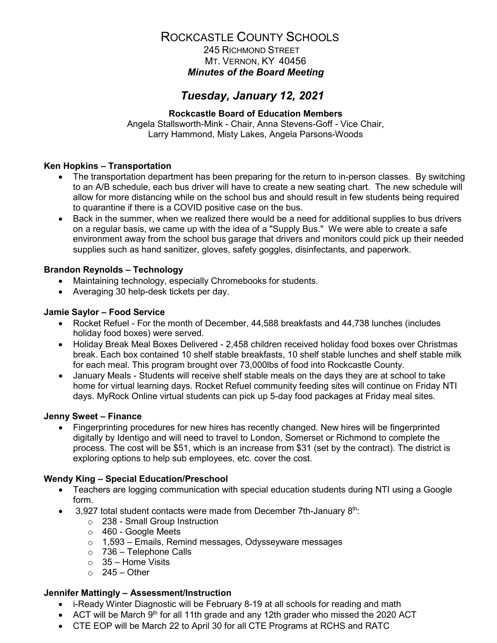# ROCKCASTLE COUNTY SCHOOLS

 245 RICHMOND STREET MT. VERNON, KY 40456 *Minutes of the Board Meeting*

## *Tuesday, January 12, 2021*

### **Rockcastle Board of Education Members**

Angela Stallsworth-Mink - Chair, Anna Stevens-Goff - Vice Chair, Larry Hammond, Misty Lakes, Angela Parsons-Woods

### **Ken Hopkins – Transportation**

- The transportation department has been preparing for the return to in-person classes. By switching to an A/B schedule, each bus driver will have to create a new seating chart. The new schedule will allow for more distancing while on the school bus and should result in few students being required to quarantine if there is a COVID positive case on the bus.
- Back in the summer, when we realized there would be a need for additional supplies to bus drivers on a regular basis, we came up with the idea of a "Supply Bus." We were able to create a safe environment away from the school bus garage that drivers and monitors could pick up their needed supplies such as hand sanitizer, gloves, safety goggles, disinfectants, and paperwork.

### **Brandon Reynolds – Technology**

- Maintaining technology, especially Chromebooks for students.
- Averaging 30 help-desk tickets per day.

#### **Jamie Saylor – Food Service**

- Rocket Refuel For the month of December, 44,588 breakfasts and 44,738 lunches (includes holiday food boxes) were served.
- Holiday Break Meal Boxes Delivered 2,458 children received holiday food boxes over Christmas break. Each box contained 10 shelf stable breakfasts, 10 shelf stable lunches and shelf stable milk for each meal. This program brought over 73,000lbs of food into Rockcastle County.
- January Meals Students will receive shelf stable meals on the days they are at school to take home for virtual learning days. Rocket Refuel community feeding sites will continue on Friday NTI days. MyRock Online virtual students can pick up 5-day food packages at Friday meal sites.

#### **Jenny Sweet – Finance**

• Fingerprinting procedures for new hires has recently changed. New hires will be fingerprinted digitally by Identigo and will need to travel to London, Somerset or Richmond to complete the process. The cost will be \$51, which is an increase from \$31 (set by the contract). The district is exploring options to help sub employees, etc. cover the cost.

#### **Wendy King – Special Education/Preschool**

- Teachers are logging communication with special education students during NTI using a Google form.
- 3,927 total student contacts were made from December 7th-January 8<sup>th</sup>:
	- o 238 Small Group Instruction
	- o 460 Google Meets
	- $\circ$  1,593 Emails, Remind messages, Odysseyware messages
	- $\circ$  736 Telephone Calls
	- $\circ$  35 Home Visits
	- $\circ$  245 Other

## **Jennifer Mattingly – Assessment/Instruction**

- i-Ready Winter Diagnostic will be February 8-19 at all schools for reading and math
- ACT will be March  $9<sup>th</sup>$  for all 11th grade and any 12th grader who missed the 2020 ACT
- CTE EOP will be March 22 to April 30 for all CTE Programs at RCHS and RATC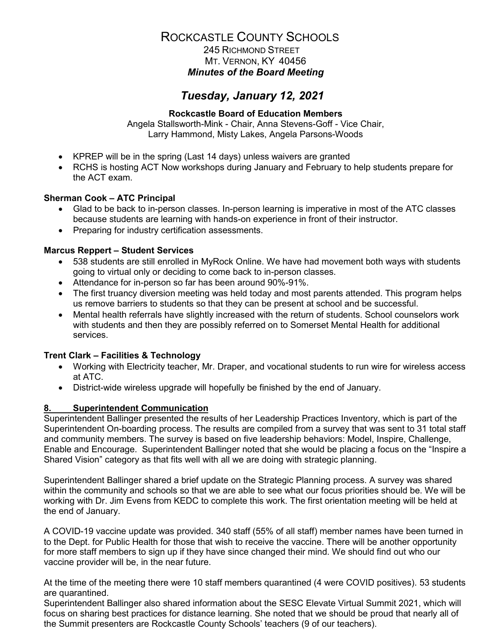## ROCKCASTLE COUNTY SCHOOLS 245 RICHMOND STREET MT. VERNON, KY 40456 *Minutes of the Board Meeting*

## *Tuesday, January 12, 2021*

### **Rockcastle Board of Education Members**

Angela Stallsworth-Mink - Chair, Anna Stevens-Goff - Vice Chair, Larry Hammond, Misty Lakes, Angela Parsons-Woods

- KPREP will be in the spring (Last 14 days) unless waivers are granted
- RCHS is hosting ACT Now workshops during January and February to help students prepare for the ACT exam.

### **Sherman Cook – ATC Principal**

- Glad to be back to in-person classes. In-person learning is imperative in most of the ATC classes because students are learning with hands-on experience in front of their instructor.
- Preparing for industry certification assessments.

### **Marcus Reppert – Student Services**

- 538 students are still enrolled in MyRock Online. We have had movement both ways with students going to virtual only or deciding to come back to in-person classes.
- Attendance for in-person so far has been around 90%-91%.
- The first truancy diversion meeting was held today and most parents attended. This program helps us remove barriers to students so that they can be present at school and be successful.
- Mental health referrals have slightly increased with the return of students. School counselors work with students and then they are possibly referred on to Somerset Mental Health for additional services.

#### **Trent Clark – Facilities & Technology**

- Working with Electricity teacher, Mr. Draper, and vocational students to run wire for wireless access at ATC.
- District-wide wireless upgrade will hopefully be finished by the end of January.

#### **8. Superintendent Communication**

Superintendent Ballinger presented the results of her Leadership Practices Inventory, which is part of the Superintendent On-boarding process. The results are compiled from a survey that was sent to 31 total staff and community members. The survey is based on five leadership behaviors: Model, Inspire, Challenge, Enable and Encourage. Superintendent Ballinger noted that she would be placing a focus on the "Inspire a Shared Vision" category as that fits well with all we are doing with strategic planning.

Superintendent Ballinger shared a brief update on the Strategic Planning process. A survey was shared within the community and schools so that we are able to see what our focus priorities should be. We will be working with Dr. Jim Evens from KEDC to complete this work. The first orientation meeting will be held at the end of January.

A COVID-19 vaccine update was provided. 340 staff (55% of all staff) member names have been turned in to the Dept. for Public Health for those that wish to receive the vaccine. There will be another opportunity for more staff members to sign up if they have since changed their mind. We should find out who our vaccine provider will be, in the near future.

At the time of the meeting there were 10 staff members quarantined (4 were COVID positives). 53 students are quarantined.

Superintendent Ballinger also shared information about the SESC Elevate Virtual Summit 2021, which will focus on sharing best practices for distance learning. She noted that we should be proud that nearly all of the Summit presenters are Rockcastle County Schools' teachers (9 of our teachers).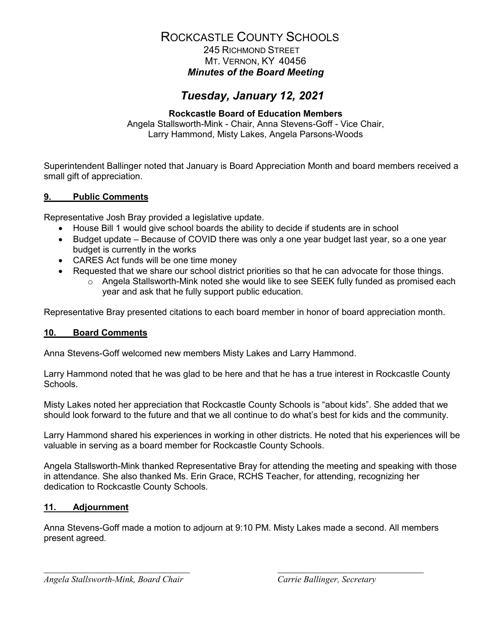## ROCKCASTLE COUNTY SCHOOLS 245 RICHMOND STREET MT. VERNON, KY 40456 *Minutes of the Board Meeting*

## *Tuesday, January 12, 2021*

### **Rockcastle Board of Education Members**

Angela Stallsworth-Mink - Chair, Anna Stevens-Goff - Vice Chair, Larry Hammond, Misty Lakes, Angela Parsons-Woods

Superintendent Ballinger noted that January is Board Appreciation Month and board members received a small gift of appreciation.

## **9. Public Comments**

Representative Josh Bray provided a legislative update.

- House Bill 1 would give school boards the ability to decide if students are in school
- Budget update Because of COVID there was only a one year budget last year, so a one year budget is currently in the works
- CARES Act funds will be one time money
- Requested that we share our school district priorities so that he can advocate for those things.
	- o Angela Stallsworth-Mink noted she would like to see SEEK fully funded as promised each year and ask that he fully support public education.

Representative Bray presented citations to each board member in honor of board appreciation month.

#### **10. Board Comments**

Anna Stevens-Goff welcomed new members Misty Lakes and Larry Hammond.

Larry Hammond noted that he was glad to be here and that he has a true interest in Rockcastle County Schools.

Misty Lakes noted her appreciation that Rockcastle County Schools is "about kids". She added that we should look forward to the future and that we all continue to do what's best for kids and the community.

Larry Hammond shared his experiences in working in other districts. He noted that his experiences will be valuable in serving as a board member for Rockcastle County Schools.

Angela Stallsworth-Mink thanked Representative Bray for attending the meeting and speaking with those in attendance. She also thanked Ms. Erin Grace, RCHS Teacher, for attending, recognizing her dedication to Rockcastle County Schools.

#### **11. Adjournment**

Anna Stevens-Goff made a motion to adjourn at 9:10 PM. Misty Lakes made a second. All members present agreed.

*Angela Stallsworth-Mink, Board Chair Carrie Ballinger, Secretary*